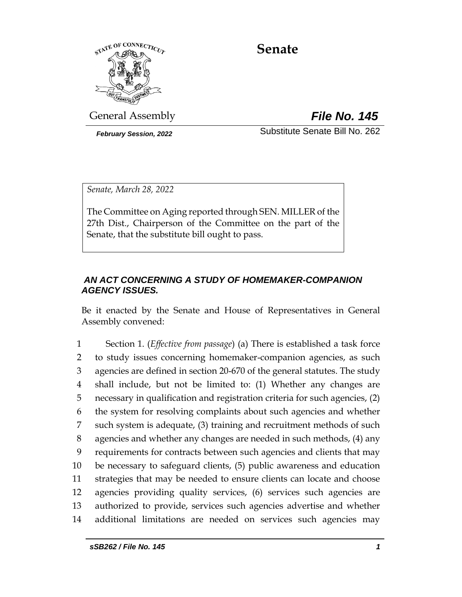

# **Senate**

General Assembly *File No. 145*

*February Session, 2022* Substitute Senate Bill No. 262

*Senate, March 28, 2022*

The Committee on Aging reported through SEN. MILLER of the 27th Dist., Chairperson of the Committee on the part of the Senate, that the substitute bill ought to pass.

## *AN ACT CONCERNING A STUDY OF HOMEMAKER-COMPANION AGENCY ISSUES.*

Be it enacted by the Senate and House of Representatives in General Assembly convened:

 Section 1. (*Effective from passage*) (a) There is established a task force to study issues concerning homemaker-companion agencies, as such agencies are defined in section 20-670 of the general statutes. The study shall include, but not be limited to: (1) Whether any changes are necessary in qualification and registration criteria for such agencies, (2) the system for resolving complaints about such agencies and whether such system is adequate, (3) training and recruitment methods of such agencies and whether any changes are needed in such methods, (4) any requirements for contracts between such agencies and clients that may be necessary to safeguard clients, (5) public awareness and education strategies that may be needed to ensure clients can locate and choose agencies providing quality services, (6) services such agencies are authorized to provide, services such agencies advertise and whether additional limitations are needed on services such agencies may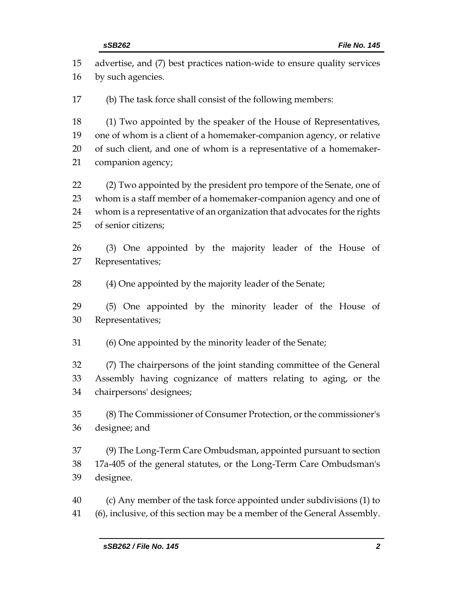| 15 | advertise, and (7) best practices nation-wide to ensure quality services  |  |
|----|---------------------------------------------------------------------------|--|
| 16 | by such agencies.                                                         |  |
| 17 | (b) The task force shall consist of the following members:                |  |
| 18 | (1) Two appointed by the speaker of the House of Representatives,         |  |
| 19 | one of whom is a client of a homemaker-companion agency, or relative      |  |
| 20 | of such client, and one of whom is a representative of a homemaker-       |  |
| 21 | companion agency;                                                         |  |
| 22 | (2) Two appointed by the president pro tempore of the Senate, one of      |  |
| 23 | whom is a staff member of a homemaker-companion agency and one of         |  |
| 24 | whom is a representative of an organization that advocates for the rights |  |
| 25 | of senior citizens;                                                       |  |
| 26 | (3) One appointed by the majority leader of the House of                  |  |
| 27 | Representatives;                                                          |  |
| 28 | (4) One appointed by the majority leader of the Senate;                   |  |
| 29 | (5) One appointed by the minority leader of the House of                  |  |
| 30 | Representatives;                                                          |  |
| 31 | (6) One appointed by the minority leader of the Senate;                   |  |
| 32 | (7) The chairpersons of the joint standing committee of the General       |  |
| 33 | Assembly having cognizance of matters relating to aging, or the           |  |
| 34 | chairpersons' designees;                                                  |  |
| 35 | (8) The Commissioner of Consumer Protection, or the commissioner's        |  |
| 36 | designee; and                                                             |  |
| 37 | (9) The Long-Term Care Ombudsman, appointed pursuant to section           |  |
| 38 | 17a-405 of the general statutes, or the Long-Term Care Ombudsman's        |  |
| 39 | designee.                                                                 |  |
| 40 | (c) Any member of the task force appointed under subdivisions (1) to      |  |

(6), inclusive, of this section may be a member of the General Assembly.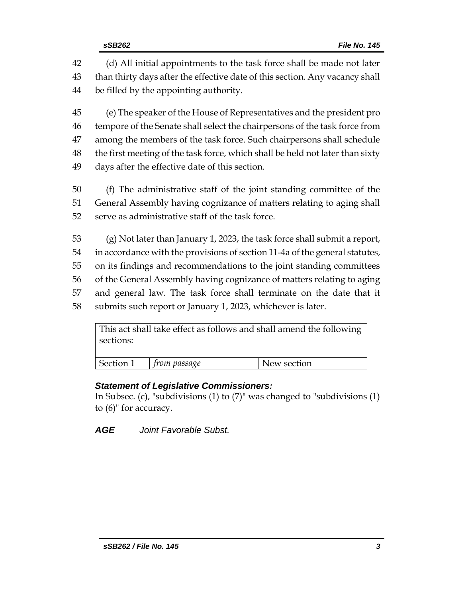(d) All initial appointments to the task force shall be made not later than thirty days after the effective date of this section. Any vacancy shall be filled by the appointing authority.

 (e) The speaker of the House of Representatives and the president pro tempore of the Senate shall select the chairpersons of the task force from among the members of the task force. Such chairpersons shall schedule the first meeting of the task force, which shall be held not later than sixty days after the effective date of this section.

- (f) The administrative staff of the joint standing committee of the General Assembly having cognizance of matters relating to aging shall serve as administrative staff of the task force.
- (g) Not later than January 1, 2023, the task force shall submit a report, in accordance with the provisions of section 11-4a of the general statutes, on its findings and recommendations to the joint standing committees of the General Assembly having cognizance of matters relating to aging and general law. The task force shall terminate on the date that it submits such report or January 1, 2023, whichever is later.

| This act shall take effect as follows and shall amend the following<br>sections: |                          |             |  |
|----------------------------------------------------------------------------------|--------------------------|-------------|--|
|                                                                                  | Section 1   from passage | New section |  |

## *Statement of Legislative Commissioners:*

In Subsec. (c), "subdivisions (1) to (7)" was changed to "subdivisions (1) to (6)" for accuracy.

*AGE Joint Favorable Subst.*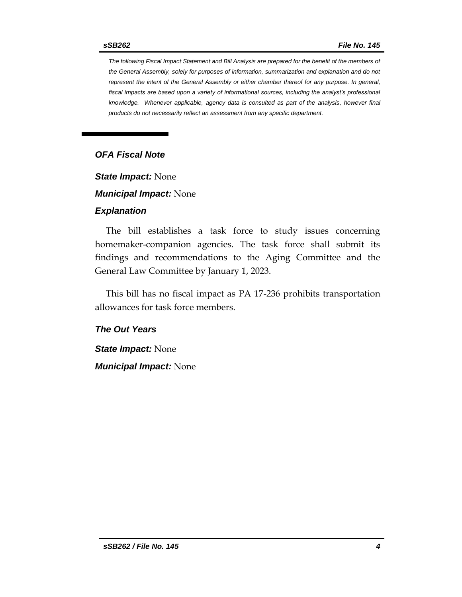*The following Fiscal Impact Statement and Bill Analysis are prepared for the benefit of the members of the General Assembly, solely for purposes of information, summarization and explanation and do not represent the intent of the General Assembly or either chamber thereof for any purpose. In general,*  fiscal impacts are based upon a variety of informational sources, including the analyst's professional *knowledge. Whenever applicable, agency data is consulted as part of the analysis, however final products do not necessarily reflect an assessment from any specific department.*

#### *OFA Fiscal Note*

*State Impact:* None

*Municipal Impact:* None

#### *Explanation*

The bill establishes a task force to study issues concerning homemaker-companion agencies. The task force shall submit its findings and recommendations to the Aging Committee and the General Law Committee by January 1, 2023.

This bill has no fiscal impact as PA 17-236 prohibits transportation allowances for task force members.

#### *The Out Years*

*State Impact:* None *Municipal Impact:* None